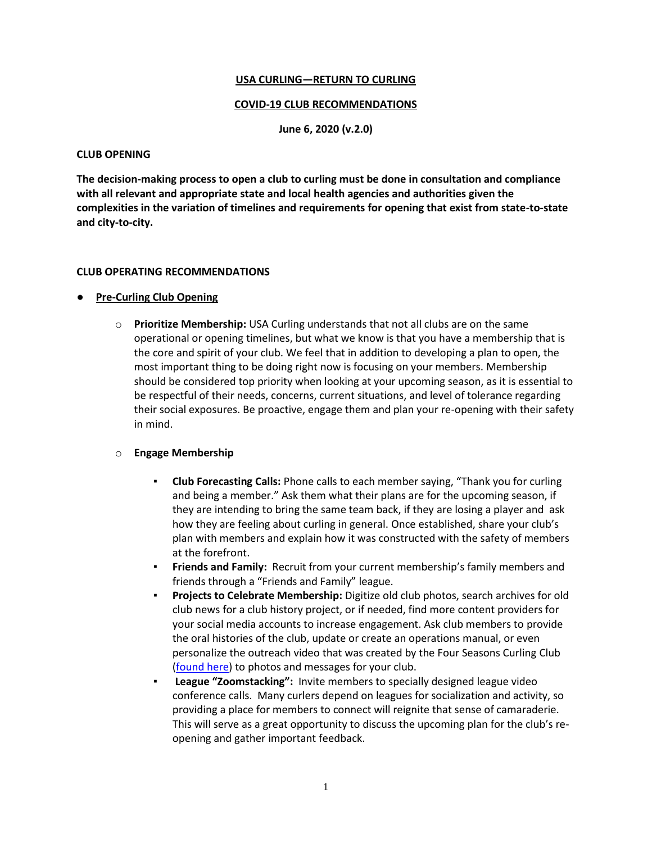### **USA CURLING—RETURN TO CURLING**

#### **COVID-19 CLUB RECOMMENDATIONS**

**June 6, 2020 (v.2.0)**

#### **CLUB OPENING**

**The decision-making process to open a club to curling must be done in consultation and compliance with all relevant and appropriate state and local health agencies and authorities given the complexities in the variation of timelines and requirements for opening that exist from state-to-state and city-to-city.** 

#### **CLUB OPERATING RECOMMENDATIONS**

### **Pre-Curling Club Opening**

o **Prioritize Membership:** USA Curling understands that not all clubs are on the same operational or opening timelines, but what we know is that you have a membership that is the core and spirit of your club. We feel that in addition to developing a plan to open, the most important thing to be doing right now is focusing on your members. Membership should be considered top priority when looking at your upcoming season, as it is essential to be respectful of their needs, concerns, current situations, and level of tolerance regarding their social exposures. Be proactive, engage them and plan your re-opening with their safety in mind.

### o **Engage Membership**

- **Club Forecasting Calls:** Phone calls to each member saying, "Thank you for curling and being a member." Ask them what their plans are for the upcoming season, if they are intending to bring the same team back, if they are losing a player and ask how they are feeling about curling in general. Once established, share your club's plan with members and explain how it was constructed with the safety of members at the forefront.
- **Friends and Family:** Recruit from your current membership's family members and friends through a "Friends and Family" league.
- Projects to Celebrate Membership: Digitize old club photos, search archives for old club news for a club history project, or if needed, find more content providers for your social media accounts to increase engagement. Ask club members to provide the oral histories of the club, update or create an operations manual, or even personalize the outreach video that was created by the Four Seasons Curling Club [\(found here\)](https://www.youtube.com/watch?v=w2bc3caETlg) to photos and messages for your club.
- **League "Zoomstacking":** Invite members to specially designed league video conference calls. Many curlers depend on leagues for socialization and activity, so providing a place for members to connect will reignite that sense of camaraderie. This will serve as a great opportunity to discuss the upcoming plan for the club's reopening and gather important feedback.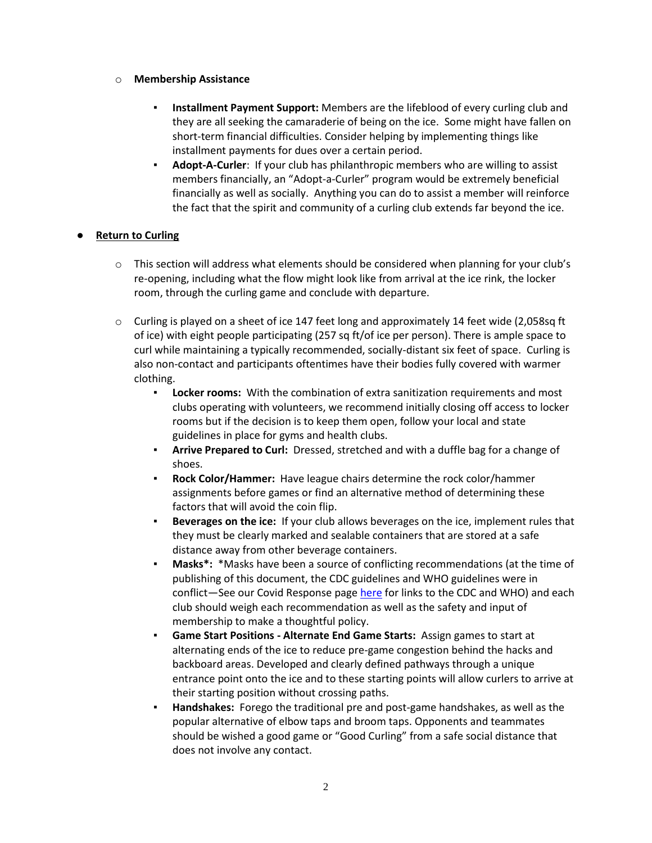### o **Membership Assistance**

- **Installment Payment Support:** Members are the lifeblood of every curling club and they are all seeking the camaraderie of being on the ice. Some might have fallen on short-term financial difficulties. Consider helping by implementing things like installment payments for dues over a certain period.
- **Adopt-A-Curler:** If your club has philanthropic members who are willing to assist members financially, an "Adopt-a-Curler" program would be extremely beneficial financially as well as socially. Anything you can do to assist a member will reinforce the fact that the spirit and community of a curling club extends far beyond the ice.

### ● **Return to Curling**

- $\circ$  This section will address what elements should be considered when planning for your club's re-opening, including what the flow might look like from arrival at the ice rink, the locker room, through the curling game and conclude with departure.
- $\circ$  Curling is played on a sheet of ice 147 feet long and approximately 14 feet wide (2,058sq ft of ice) with eight people participating (257 sq ft/of ice per person). There is ample space to curl while maintaining a typically recommended, socially-distant six feet of space. Curling is also non-contact and participants oftentimes have their bodies fully covered with warmer clothing.
	- **Locker rooms:** With the combination of extra sanitization requirements and most clubs operating with volunteers, we recommend initially closing off access to locker rooms but if the decision is to keep them open, follow your local and state guidelines in place for gyms and health clubs.
	- **Arrive Prepared to Curl:** Dressed, stretched and with a duffle bag for a change of shoes.
	- **Rock Color/Hammer:** Have league chairs determine the rock color/hammer assignments before games or find an alternative method of determining these factors that will avoid the coin flip.
	- **Beverages on the ice:** If your club allows beverages on the ice, implement rules that they must be clearly marked and sealable containers that are stored at a safe distance away from other beverage containers.
	- **Masks\*:** \*Masks have been a source of conflicting recommendations (at the time of publishing of this document, the CDC guidelines and WHO guidelines were in conflict—See our Covid Response pag[e here](https://www.teamusa.org/usa-curling/covid-19-updates) for links to the CDC and WHO) and each club should weigh each recommendation as well as the safety and input of membership to make a thoughtful policy.
	- **Game Start Positions - Alternate End Game Starts:** Assign games to start at alternating ends of the ice to reduce pre-game congestion behind the hacks and backboard areas. Developed and clearly defined pathways through a unique entrance point onto the ice and to these starting points will allow curlers to arrive at their starting position without crossing paths.
	- Handshakes: Forego the traditional pre and post-game handshakes, as well as the popular alternative of elbow taps and broom taps. Opponents and teammates should be wished a good game or "Good Curling" from a safe social distance that does not involve any contact.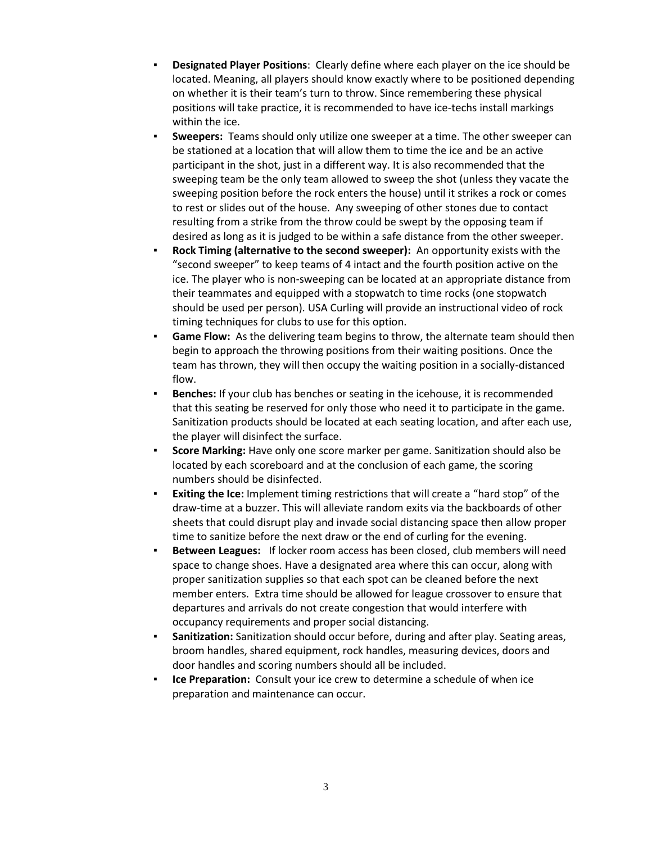- **Designated Player Positions:** Clearly define where each player on the ice should be located. Meaning, all players should know exactly where to be positioned depending on whether it is their team's turn to throw. Since remembering these physical positions will take practice, it is recommended to have ice-techs install markings within the ice.
- **Sweepers:** Teams should only utilize one sweeper at a time. The other sweeper can be stationed at a location that will allow them to time the ice and be an active participant in the shot, just in a different way. It is also recommended that the sweeping team be the only team allowed to sweep the shot (unless they vacate the sweeping position before the rock enters the house) until it strikes a rock or comes to rest or slides out of the house. Any sweeping of other stones due to contact resulting from a strike from the throw could be swept by the opposing team if desired as long as it is judged to be within a safe distance from the other sweeper.
- **Rock Timing (alternative to the second sweeper):** An opportunity exists with the "second sweeper" to keep teams of 4 intact and the fourth position active on the ice. The player who is non-sweeping can be located at an appropriate distance from their teammates and equipped with a stopwatch to time rocks (one stopwatch should be used per person). USA Curling will provide an instructional video of rock timing techniques for clubs to use for this option.
- **Game Flow:** As the delivering team begins to throw, the alternate team should then begin to approach the throwing positions from their waiting positions. Once the team has thrown, they will then occupy the waiting position in a socially-distanced flow.
- **Benches:** If your club has benches or seating in the icehouse, it is recommended that this seating be reserved for only those who need it to participate in the game. Sanitization products should be located at each seating location, and after each use, the player will disinfect the surface.
- **Score Marking:** Have only one score marker per game. Sanitization should also be located by each scoreboard and at the conclusion of each game, the scoring numbers should be disinfected.
- **Exiting the Ice:** Implement timing restrictions that will create a "hard stop" of the draw-time at a buzzer. This will alleviate random exits via the backboards of other sheets that could disrupt play and invade social distancing space then allow proper time to sanitize before the next draw or the end of curling for the evening.
- **Between Leagues:** If locker room access has been closed, club members will need space to change shoes. Have a designated area where this can occur, along with proper sanitization supplies so that each spot can be cleaned before the next member enters. Extra time should be allowed for league crossover to ensure that departures and arrivals do not create congestion that would interfere with occupancy requirements and proper social distancing.
- **EXECUTE: Sanitization:** Sanitization should occur before, during and after play. Seating areas, broom handles, shared equipment, rock handles, measuring devices, doors and door handles and scoring numbers should all be included.
- **Ice Preparation:** Consult your ice crew to determine a schedule of when ice preparation and maintenance can occur.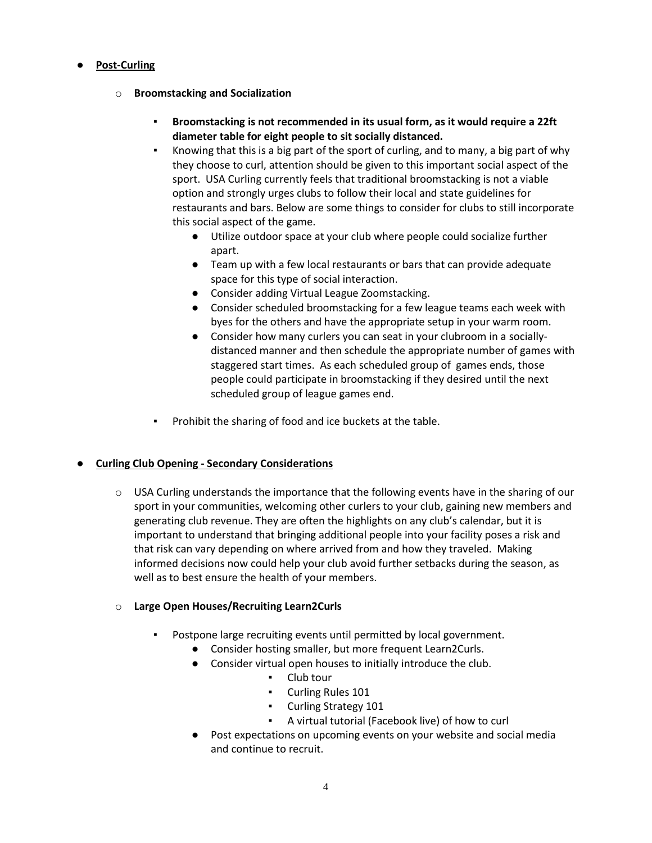# ● **Post-Curling**

- o **Broomstacking and Socialization**
	- **Broomstacking is not recommended in its usual form, as it would require a 22ft diameter table for eight people to sit socially distanced.**
	- Knowing that this is a big part of the sport of curling, and to many, a big part of why they choose to curl, attention should be given to this important social aspect of the sport. USA Curling currently feels that traditional broomstacking is not a viable option and strongly urges clubs to follow their local and state guidelines for restaurants and bars. Below are some things to consider for clubs to still incorporate this social aspect of the game.
		- Utilize outdoor space at your club where people could socialize further apart.
		- Team up with a few local restaurants or bars that can provide adequate space for this type of social interaction.
		- Consider adding Virtual League Zoomstacking.
		- Consider scheduled broomstacking for a few league teams each week with byes for the others and have the appropriate setup in your warm room.
		- Consider how many curlers you can seat in your clubroom in a sociallydistanced manner and then schedule the appropriate number of games with staggered start times. As each scheduled group of games ends, those people could participate in broomstacking if they desired until the next scheduled group of league games end.
	- Prohibit the sharing of food and ice buckets at the table.

# ● **Curling Club Opening - Secondary Considerations**

 $\circ$  USA Curling understands the importance that the following events have in the sharing of our sport in your communities, welcoming other curlers to your club, gaining new members and generating club revenue. They are often the highlights on any club's calendar, but it is important to understand that bringing additional people into your facility poses a risk and that risk can vary depending on where arrived from and how they traveled. Making informed decisions now could help your club avoid further setbacks during the season, as well as to best ensure the health of your members.

# o **Large Open Houses/Recruiting Learn2Curls**

- Postpone large recruiting events until permitted by local government.
	- Consider hosting smaller, but more frequent Learn2Curls.
	- Consider virtual open houses to initially introduce the club.
		- Club tour
		- Curling Rules 101
		- Curling Strategy 101
		- A virtual tutorial (Facebook live) of how to curl
	- Post expectations on upcoming events on your website and social media and continue to recruit.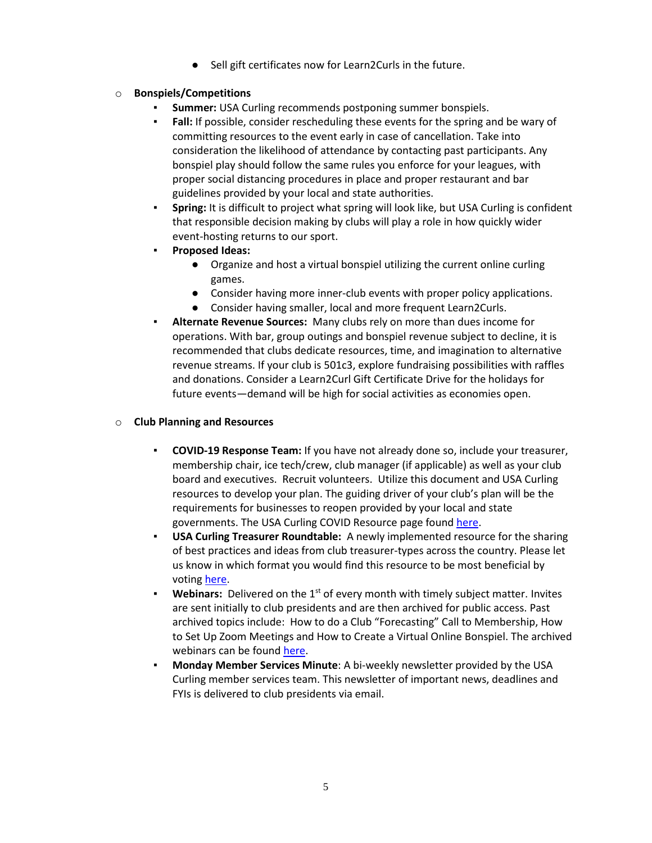Sell gift certificates now for Learn2Curls in the future.

## o **Bonspiels/Competitions**

- **Summer:** USA Curling recommends postponing summer bonspiels.
- Fall: If possible, consider rescheduling these events for the spring and be wary of committing resources to the event early in case of cancellation. Take into consideration the likelihood of attendance by contacting past participants. Any bonspiel play should follow the same rules you enforce for your leagues, with proper social distancing procedures in place and proper restaurant and bar guidelines provided by your local and state authorities.
- **Spring:** It is difficult to project what spring will look like, but USA Curling is confident that responsible decision making by clubs will play a role in how quickly wider event-hosting returns to our sport.
- **Proposed Ideas:**
	- Organize and host a virtual bonspiel utilizing the current online curling games.
	- Consider having more inner-club events with proper policy applications.
	- Consider having smaller, local and more frequent Learn2Curls.
- **Alternate Revenue Sources:** Many clubs rely on more than dues income for operations. With bar, group outings and bonspiel revenue subject to decline, it is recommended that clubs dedicate resources, time, and imagination to alternative revenue streams. If your club is 501c3, explore fundraising possibilities with raffles and donations. Consider a Learn2Curl Gift Certificate Drive for the holidays for future events—demand will be high for social activities as economies open.

### o **Club Planning and Resources**

- **COVID-19 Response Team:** If you have not already done so, include your treasurer, membership chair, ice tech/crew, club manager (if applicable) as well as your club board and executives. Recruit volunteers. Utilize this document and USA Curling resources to develop your plan. The guiding driver of your club's plan will be the requirements for businesses to reopen provided by your local and state governments. The USA Curling COVID Resource page foun[d here.](https://www.teamusa.org/usa-curling/covid-19-updates)
- **USA Curling Treasurer Roundtable:** A newly implemented resource for the sharing of best practices and ideas from club treasurer-types across the country. Please let us know in which format you would find this resource to be most beneficial by votin[g here.](https://usacurling.wufoo.com/forms/m119wxpl1pzfz64/)
- **Webinars:** Delivered on the 1<sup>st</sup> of every month with timely subject matter. Invites are sent initially to club presidents and are then archived for public access. Past archived topics include: How to do a Club "Forecasting" Call to Membership, How to Set Up Zoom Meetings and How to Create a Virtual Online Bonspiel. The archived webinars can be found [here.](https://www.teamusa.org/usa-curling/covid-19-updates)
- **Monday Member Services Minute**: A bi-weekly newsletter provided by the USA Curling member services team. This newsletter of important news, deadlines and FYIs is delivered to club presidents via email.